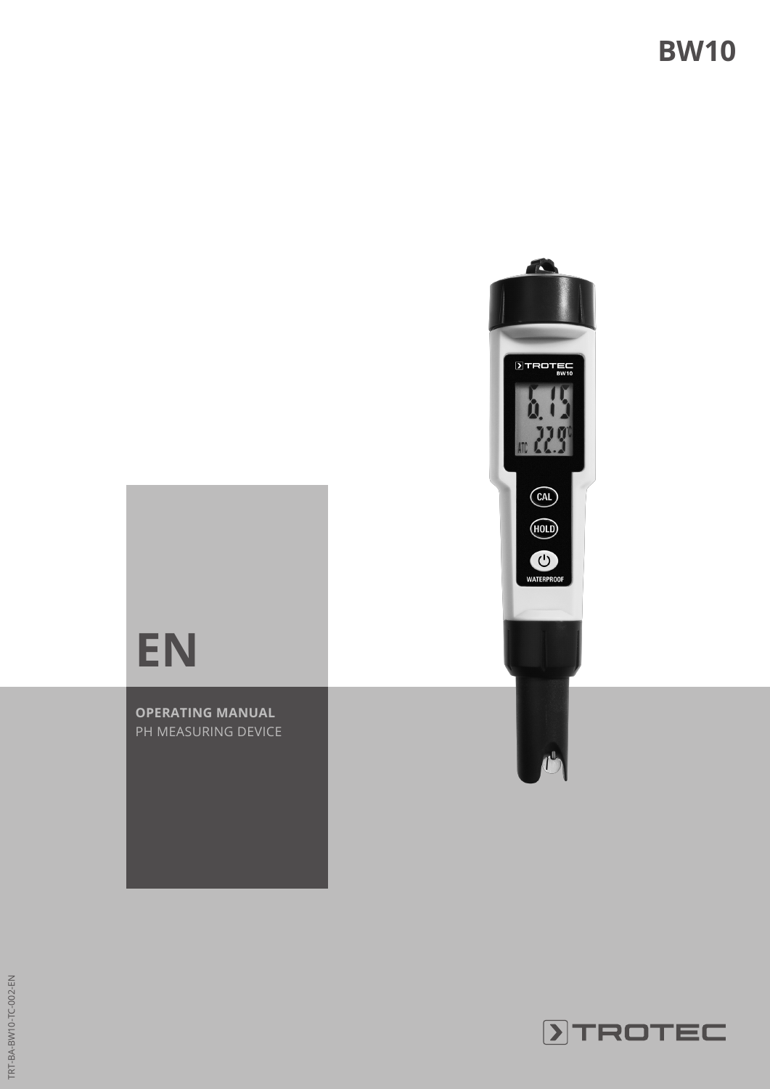

# **EN**

**OPERATING MANUAL** PH MEASURING DEVICE

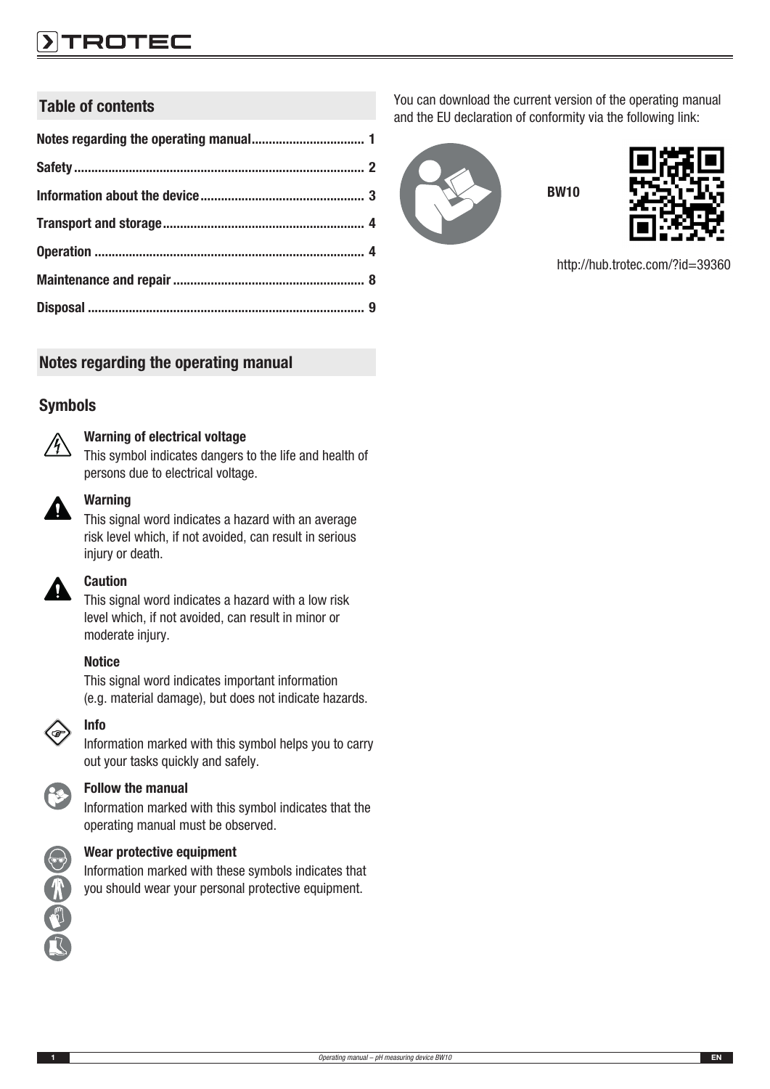## ROTEC

## Table of contents

Notes regarding the operating manual

#### Symbols



#### Warning of electrical voltage

This symbol indicates dangers to the life and health of persons due to electrical voltage.



#### **Warning**

This signal word indicates a hazard with an average risk level which, if not avoided, can result in serious injury or death.



#### Caution

This signal word indicates a hazard with a low risk level which, if not avoided, can result in minor or moderate injury.

#### **Notice**

This signal word indicates important information (e.g. material damage), but does not indicate hazards.



Information marked with this symbol helps you to carry out your tasks quickly and safely.



小型飞

#### Follow the manual

Information marked with this symbol indicates that the operating manual must be observed.



Information marked with these symbols indicates that you should wear your personal protective equipment.

You can download the current version of the operating manual and the EU declaration of conformity via the following link:

BW10





http://hub.trotec.com/?id=39360

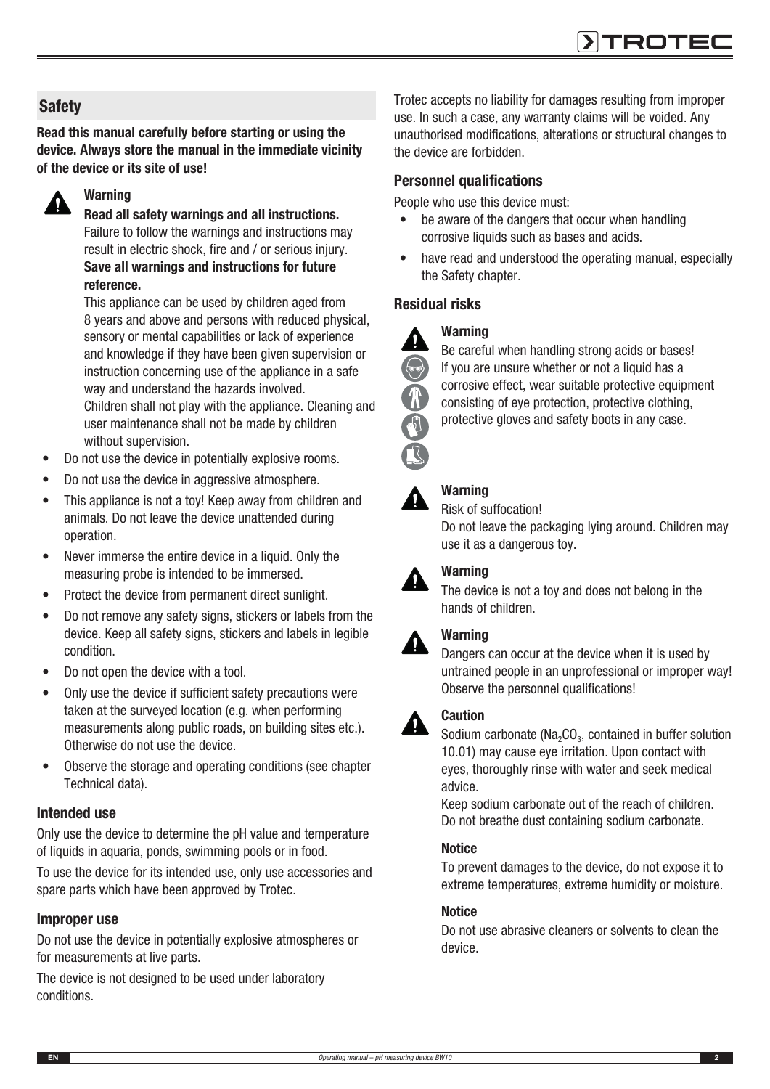## **Safety**

Read this manual carefully before starting or using the device. Always store the manual in the immediate vicinity of the device or its site of use!



## Warning

Read all safety warnings and all instructions. Failure to follow the warnings and instructions may result in electric shock, fire and / or serious injury. Save all warnings and instructions for future reference.

This appliance can be used by children aged from 8 years and above and persons with reduced physical, sensory or mental capabilities or lack of experience and knowledge if they have been given supervision or instruction concerning use of the appliance in a safe way and understand the hazards involved. Children shall not play with the appliance. Cleaning and user maintenance shall not be made by children without supervision.

- Do not use the device in potentially explosive rooms.
- Do not use the device in aggressive atmosphere.
- This appliance is not a toy! Keep away from children and animals. Do not leave the device unattended during operation.
- Never immerse the entire device in a liquid. Only the measuring probe is intended to be immersed.
- Protect the device from permanent direct sunlight.
- Do not remove any safety signs, stickers or labels from the device. Keep all safety signs, stickers and labels in legible condition.
- Do not open the device with a tool.
- Only use the device if sufficient safety precautions were taken at the surveyed location (e.g. when performing measurements along public roads, on building sites etc.). Otherwise do not use the device.
- Observe the storage and operating conditions (see chapter Technical data).

#### Intended use

Only use the device to determine the pH value and temperature of liquids in aquaria, ponds, swimming pools or in food.

To use the device for its intended use, only use accessories and spare parts which have been approved by Trotec.

#### Improper use

Do not use the device in potentially explosive atmospheres or for measurements at live parts.

The device is not designed to be used under laboratory conditions.

Trotec accepts no liability for damages resulting from improper use. In such a case, any warranty claims will be voided. Any unauthorised modifications, alterations or structural changes to the device are forbidden.

#### Personnel qualifications

People who use this device must:

- be aware of the dangers that occur when handling corrosive liquids such as bases and acids.
- have read and understood the operating manual, especially the Safety chapter.

#### Residual risks





Be careful when handling strong acids or bases! If you are unsure whether or not a liquid has a corrosive effect, wear suitable protective equipment consisting of eye protection, protective clothing, protective gloves and safety boots in any case.

## Warning

## Risk of suffocation!

Do not leave the packaging lying around. Children may use it as a dangerous toy.



#### **Warning**

The device is not a toy and does not belong in the hands of children.

## **Warning**

Dangers can occur at the device when it is used by untrained people in an unprofessional or improper way! Observe the personnel qualifications!

#### Caution A

Sodium carbonate ( $Na<sub>2</sub>CO<sub>3</sub>$ , contained in buffer solution 10.01) may cause eye irritation. Upon contact with eyes, thoroughly rinse with water and seek medical advice.

Keep sodium carbonate out of the reach of children. Do not breathe dust containing sodium carbonate.

#### **Notice**

To prevent damages to the device, do not expose it to extreme temperatures, extreme humidity or moisture.

#### **Notice**

Do not use abrasive cleaners or solvents to clean the device.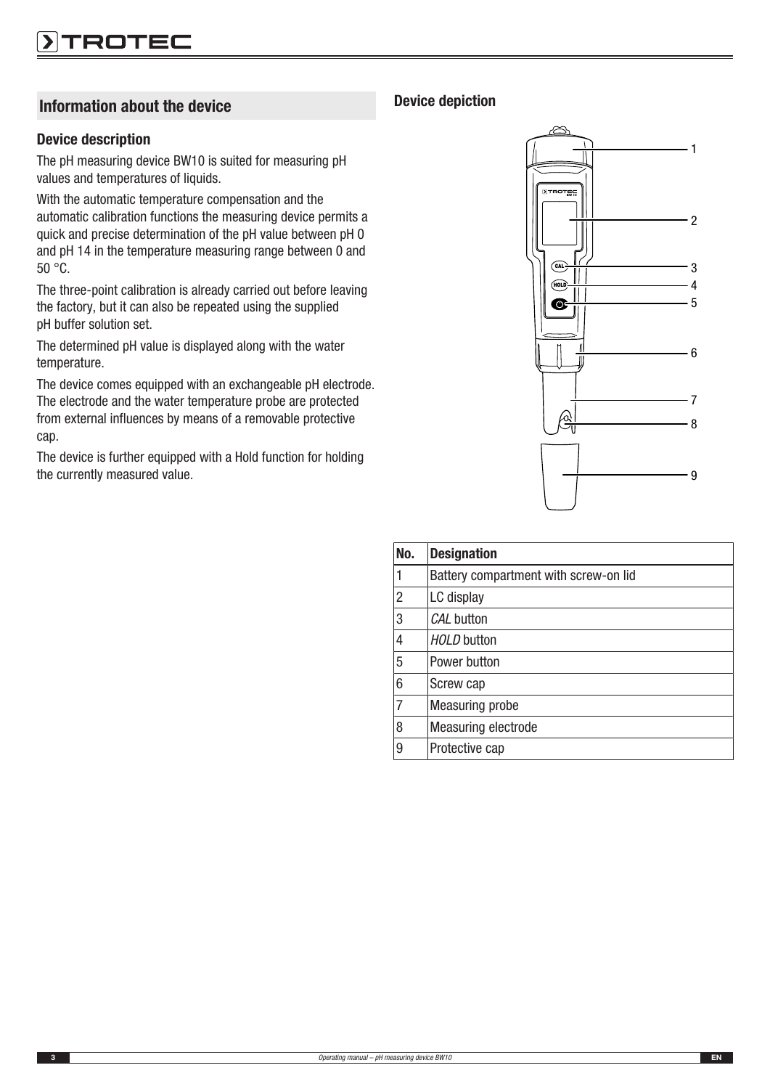## Information about the device

#### Device description

The pH measuring device BW10 is suited for measuring pH values and temperatures of liquids.

With the automatic temperature compensation and the automatic calibration functions the measuring device permits a quick and precise determination of the pH value between pH 0 and pH 14 in the temperature measuring range between 0 and 50 °C.

The three-point calibration is already carried out before leaving the factory, but it can also be repeated using the supplied pH buffer solution set.

The determined pH value is displayed along with the water temperature.

The device comes equipped with an exchangeable pH electrode. The electrode and the water temperature probe are protected from external influences by means of a removable protective cap.

The device is further equipped with a Hold function for holding the currently measured value.

#### Device depiction



| No.            | <b>Designation</b>                    |
|----------------|---------------------------------------|
| 1              | Battery compartment with screw-on lid |
| $\overline{2}$ | LC display                            |
| 3              | CAL button                            |
| 4              | <b>HOLD</b> button                    |
| 5              | Power button                          |
| 6              | Screw cap                             |
| $\overline{7}$ | <b>Measuring probe</b>                |
| 8              | <b>Measuring electrode</b>            |
| 9              | Protective cap                        |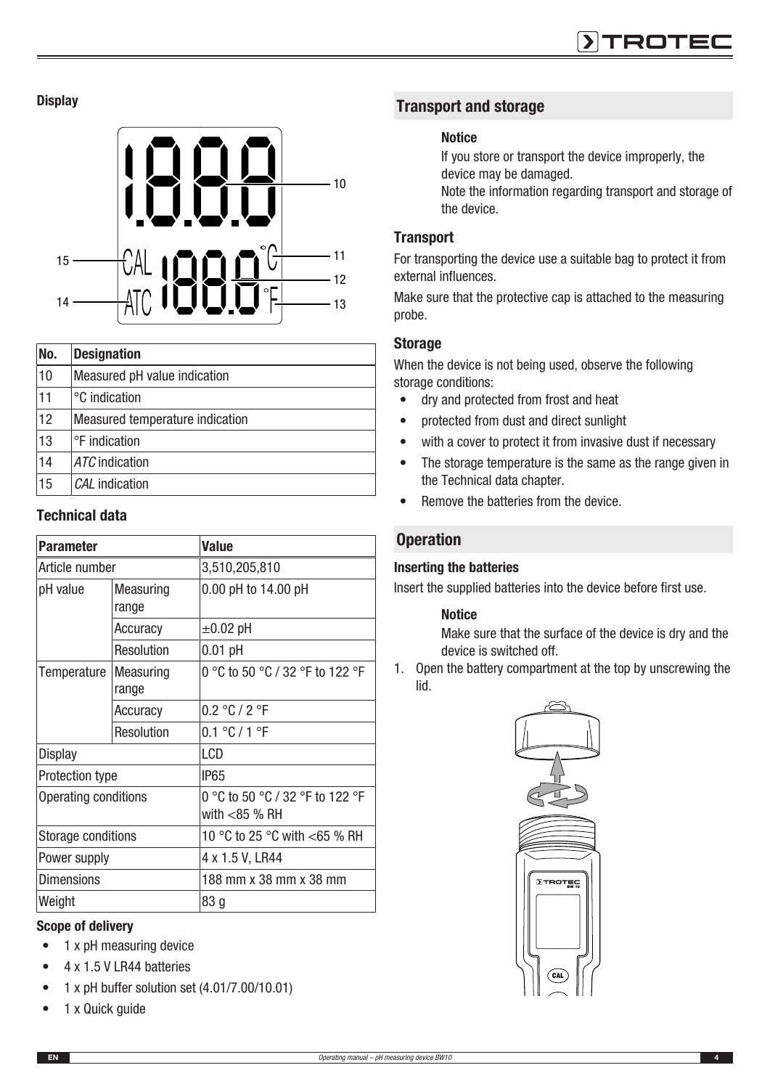**Display** 



| No. | <b>Designation</b>              |
|-----|---------------------------------|
| 10  | Measured pH value indication    |
| 11  | °C indication                   |
| 12  | Measured temperature indication |
| 13  | °F indication                   |
| 14  | ATC indication                  |
| 15  | CAL indication                  |

#### Technical data

| Parameter                 |                           | <b>Value</b>                    |  |
|---------------------------|---------------------------|---------------------------------|--|
| Article number            |                           | 3,510,205,810                   |  |
| pH value                  | Measuring                 | 0.00 pH to 14.00 pH             |  |
|                           | range                     |                                 |  |
|                           | Accuracy                  | $\pm 0.02$ pH                   |  |
|                           | Resolution                | $0.01$ pH                       |  |
| Temperature               | <b>Measuring</b><br>range | 0 °C to 50 °C / 32 °F to 122 °F |  |
|                           | Accuracy                  | 0.2 °C / 2 °F                   |  |
|                           | Resolution                | 0.1 °C / 1 °F                   |  |
| Display                   |                           | LCD                             |  |
| Protection type           |                           | IP <sub>65</sub>                |  |
| Operating conditions      |                           | 0 °C to 50 °C / 32 °F to 122 °F |  |
|                           |                           | with $<$ 85 % RH                |  |
| <b>Storage conditions</b> |                           | 10 °C to 25 °C with <65 % RH    |  |
| Power supply              |                           | 4 x 1.5 V, LR44                 |  |
| <b>Dimensions</b>         |                           | 188 mm x 38 mm x 38 mm          |  |
| Weight                    |                           | 83 g                            |  |

#### Scope of delivery

- 1 x pH measuring device
- 4 x 1.5 V LR44 batteries
- 1 x pH buffer solution set (4.01/7.00/10.01)
- 1 x Quick guide

## Transport and storage

#### **Notice**

If you store or transport the device improperly, the device may be damaged. Note the information regarding transport and storage of the device.

#### **Transport**

For transporting the device use a suitable bag to protect it from external influences.

Make sure that the protective cap is attached to the measuring probe.

#### Storage

When the device is not being used, observe the following storage conditions:

- dry and protected from frost and heat
- protected from dust and direct sunlight
- with a cover to protect it from invasive dust if necessary
- The storage temperature is the same as the range given in the Technical data chapter.
- Remove the batteries from the device.

#### **Operation**

#### Inserting the batteries

Insert the supplied batteries into the device before first use.

#### **Notice**

Make sure that the surface of the device is dry and the device is switched off.

1. Open the battery compartment at the top by unscrewing the lid.

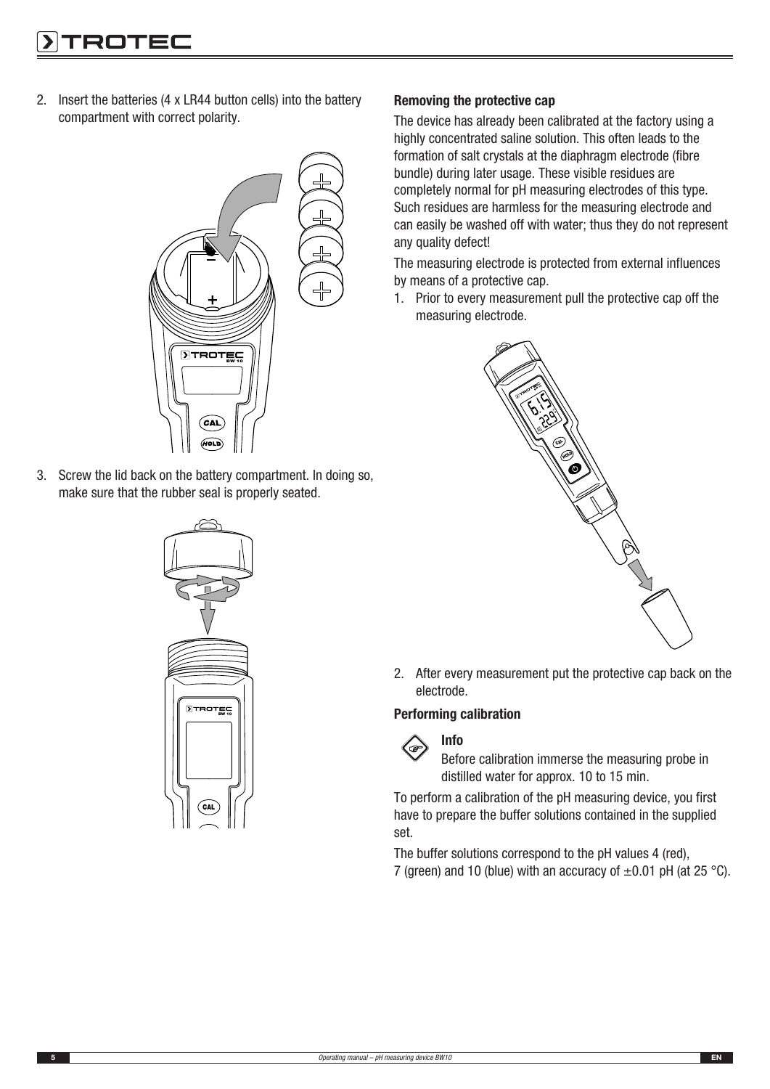2. Insert the batteries (4 x LR44 button cells) into the battery compartment with correct polarity.



3. Screw the lid back on the battery compartment. In doing so, make sure that the rubber seal is properly seated.



#### Removing the protective cap

The device has already been calibrated at the factory using a highly concentrated saline solution. This often leads to the formation of salt crystals at the diaphragm electrode (fibre bundle) during later usage. These visible residues are completely normal for pH measuring electrodes of this type. Such residues are harmless for the measuring electrode and can easily be washed off with water; thus they do not represent any quality defect!

The measuring electrode is protected from external influences by means of a protective cap.

1. Prior to every measurement pull the protective cap off the measuring electrode.



2. After every measurement put the protective cap back on the electrode.

#### Performing calibration



Before calibration immerse the measuring probe in distilled water for approx. 10 to 15 min.

To perform a calibration of the pH measuring device, you first have to prepare the buffer solutions contained in the supplied set.

The buffer solutions correspond to the pH values 4 (red), 7 (green) and 10 (blue) with an accuracy of  $\pm 0.01$  pH (at 25 °C).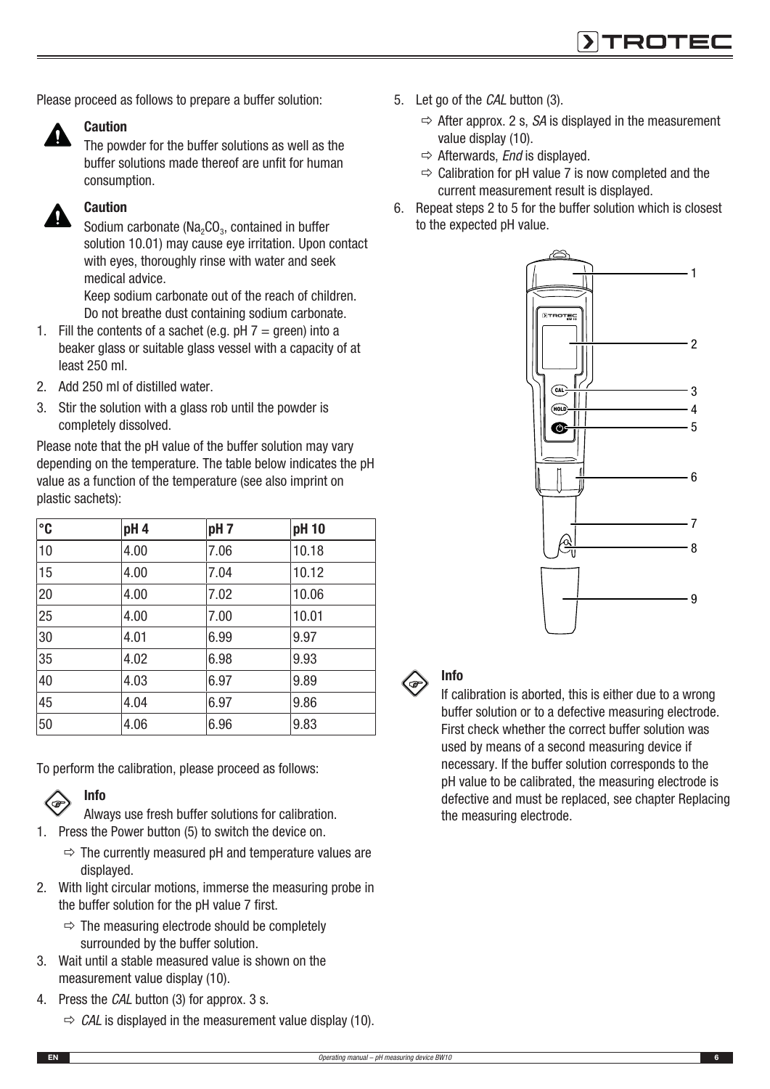Please proceed as follows to prepare a buffer solution:



#### **Caution**

The powder for the buffer solutions as well as the buffer solutions made thereof are unfit for human consumption.

## Caution

Sodium carbonate ( $Na<sub>2</sub>CO<sub>3</sub>$ , contained in buffer solution 10.01) may cause eye irritation. Upon contact with eyes, thoroughly rinse with water and seek medical advice.

Keep sodium carbonate out of the reach of children. Do not breathe dust containing sodium carbonate.

- 1. Fill the contents of a sachet (e.g.  $pH 7 =$  green) into a beaker glass or suitable glass vessel with a capacity of at least 250 ml.
- 2. Add 250 ml of distilled water.
- 3. Stir the solution with a glass rob until the powder is completely dissolved.

Please note that the pH value of the buffer solution may vary depending on the temperature. The table below indicates the pH value as a function of the temperature (see also imprint on plastic sachets):

| $^{\circ}$ C | pH <sub>4</sub> | pH <sub>7</sub> | pH 10 |
|--------------|-----------------|-----------------|-------|
| 10           | 4.00            | 7.06            | 10.18 |
| 15           | 4.00            | 7.04            | 10.12 |
| 20           | 4.00            | 7.02            | 10.06 |
| 25           | 4.00            | 7.00            | 10.01 |
| 30           | 4.01            | 6.99            | 9.97  |
| 35           | 4.02            | 6.98            | 9.93  |
| 40           | 4.03            | 6.97            | 9.89  |
| 45           | 4.04            | 6.97            | 9.86  |
| 50           | 4.06            | 6.96            | 9.83  |

To perform the calibration, please proceed as follows:

## Info

- Always use fresh buffer solutions for calibration.
- 1. Press the Power button (5) to switch the device on.
	- $\Rightarrow$  The currently measured pH and temperature values are displayed.
- 2. With light circular motions, immerse the measuring probe in the buffer solution for the pH value 7 first.
	- $\Rightarrow$  The measuring electrode should be completely surrounded by the buffer solution.
- 3. Wait until a stable measured value is shown on the measurement value display (10).
- 4. Press the *CAL* button (3) for approx. 3 s.
	- $\Rightarrow$  *CAL* is displayed in the measurement value display (10).
- 5. Let go of the *CAL* button (3).
	- $\Rightarrow$  After approx. 2 s, *SA* is displayed in the measurement value display (10).
	- $\Rightarrow$  Afterwards, *End* is displayed.
	- $\Rightarrow$  Calibration for pH value 7 is now completed and the current measurement result is displayed.
- 6. Repeat steps 2 to 5 for the buffer solution which is closest to the expected pH value.





## Info

If calibration is aborted, this is either due to a wrong buffer solution or to a defective measuring electrode. First check whether the correct buffer solution was used by means of a second measuring device if necessary. If the buffer solution corresponds to the pH value to be calibrated, the measuring electrode is defective and must be replaced, see chapter Replacing the measuring electrode.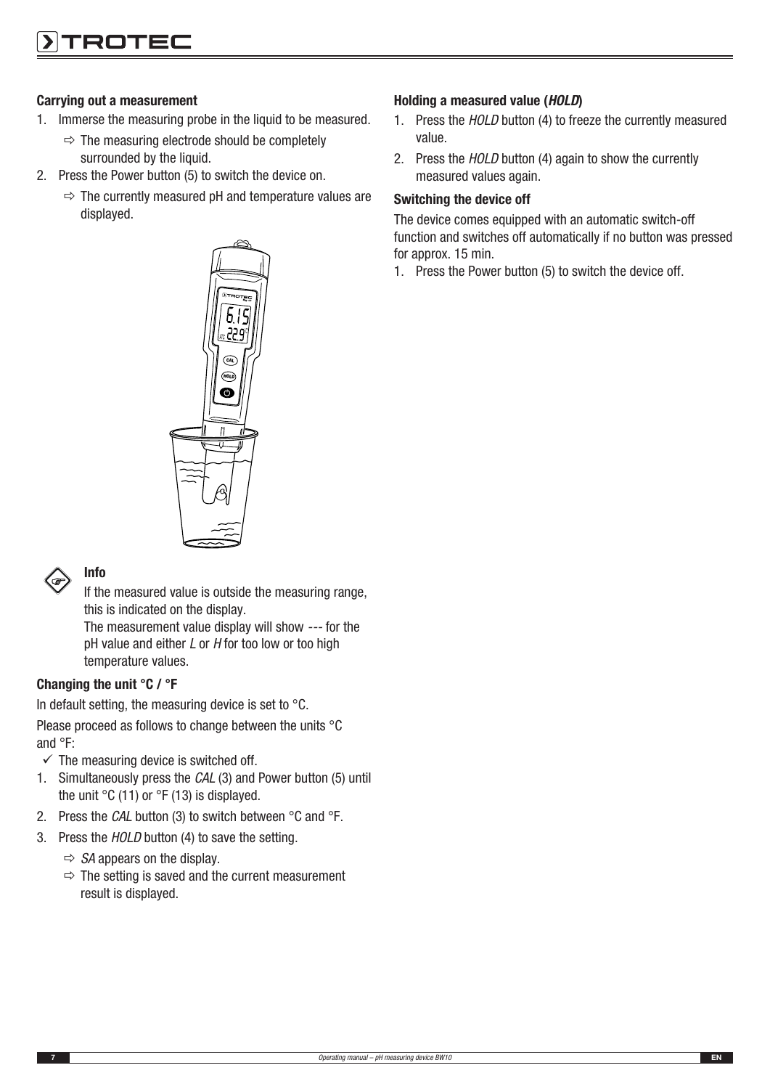#### Carrying out a measurement

- 1. Immerse the measuring probe in the liquid to be measured.
	- $\Rightarrow$  The measuring electrode should be completely surrounded by the liquid.
- 2. Press the Power button (5) to switch the device on.
	- $\Rightarrow$  The currently measured pH and temperature values are displayed.





#### Info

If the measured value is outside the measuring range, this is indicated on the display. The measurement value display will show *---* for the pH value and either *L* or *H* for too low or too high temperature values.

#### Changing the unit °C / °F

In default setting, the measuring device is set to °C.

Please proceed as follows to change between the units °C and °F:

- $\checkmark$  The measuring device is switched off.
- 1. Simultaneously press the *CAL* (3) and Power button (5) until the unit  $\degree$ C (11) or  $\degree$ F (13) is displayed.
- 2. Press the *CAL* button (3) to switch between °C and °F.
- 3. Press the *HOLD* button (4) to save the setting.
	- $\Rightarrow$  *SA* appears on the display.
	- $\Rightarrow$  The setting is saved and the current measurement result is displayed.

#### Holding a measured value (HOLD)

- 1. Press the *HOLD* button (4) to freeze the currently measured value.
- 2. Press the *HOLD* button (4) again to show the currently measured values again.

#### Switching the device off

The device comes equipped with an automatic switch-off function and switches off automatically if no button was pressed for approx. 15 min.

1. Press the Power button (5) to switch the device off.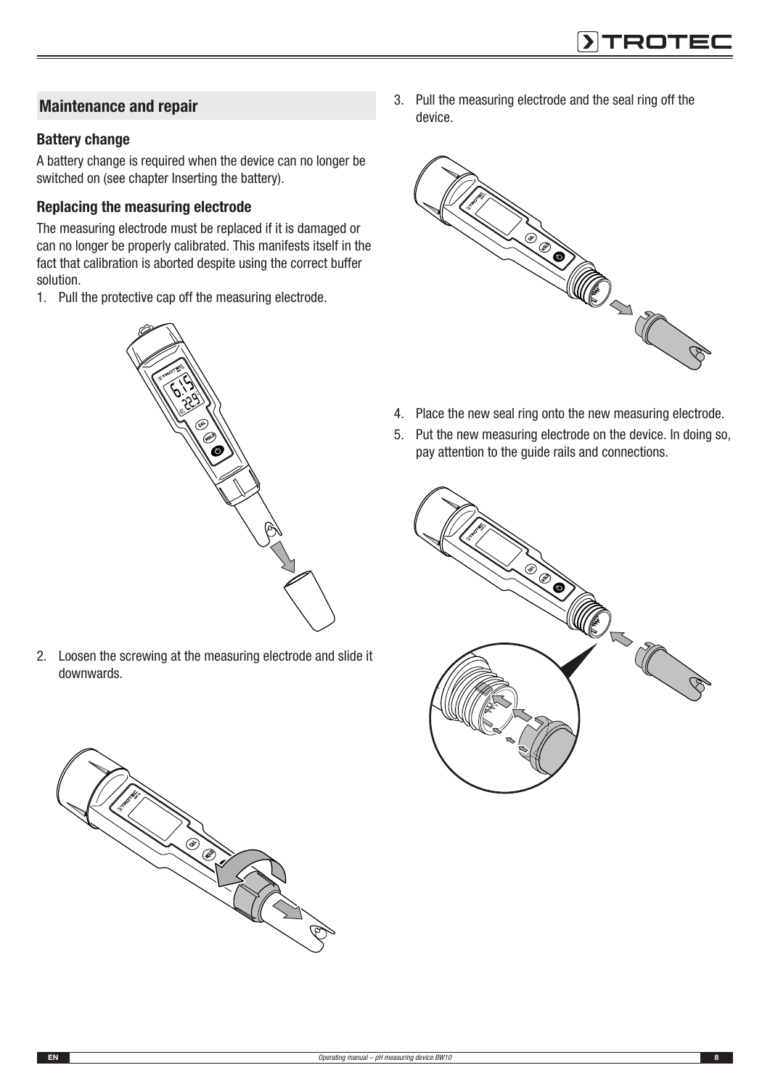## Maintenance and repair

#### Battery change

A battery change is required when the device can no longer be switched on (see chapter Inserting the battery).

#### Replacing the measuring electrode

The measuring electrode must be replaced if it is damaged or can no longer be properly calibrated. This manifests itself in the fact that calibration is aborted despite using the correct buffer solution.

1. Pull the protective cap off the measuring electrode.



2. Loosen the screwing at the measuring electrode and slide it downwards.



3. Pull the measuring electrode and the seal ring off the device.



- 4. Place the new seal ring onto the new measuring electrode.
- 5. Put the new measuring electrode on the device. In doing so, pay attention to the guide rails and connections.

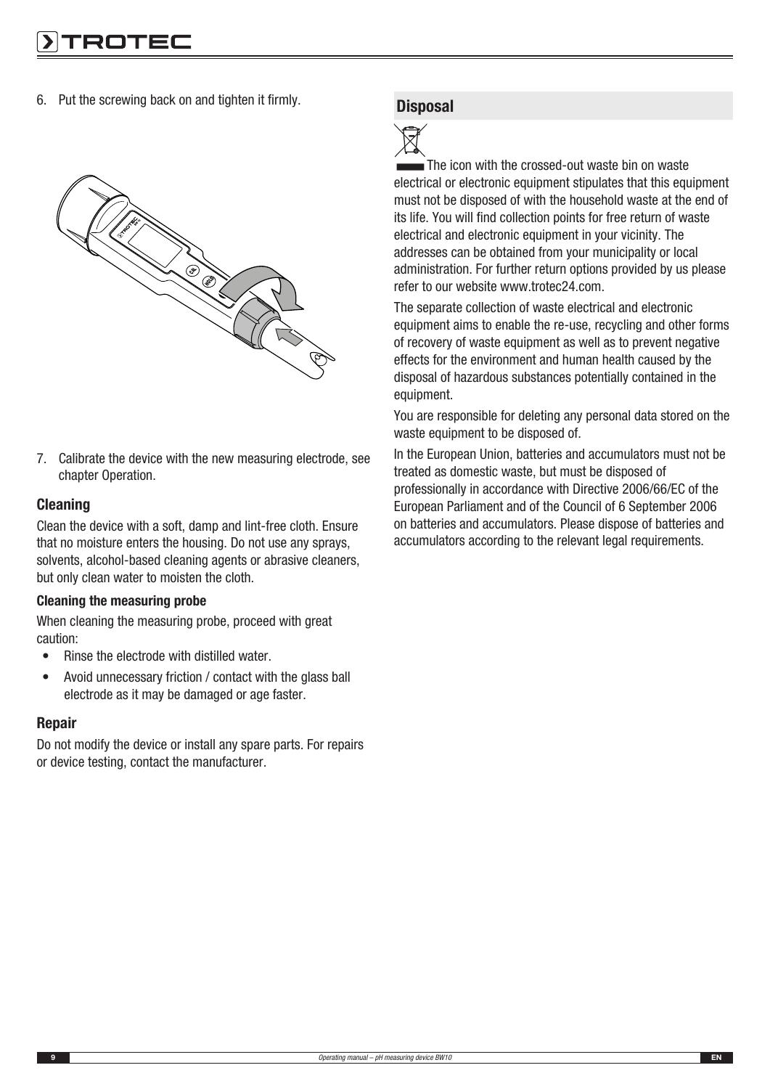6. Put the screwing back on and tighten it firmly.



7. Calibrate the device with the new measuring electrode, see chapter Operation.

#### Cleaning

Clean the device with a soft, damp and lint-free cloth. Ensure that no moisture enters the housing. Do not use any sprays, solvents, alcohol-based cleaning agents or abrasive cleaners, but only clean water to moisten the cloth.

#### Cleaning the measuring probe

When cleaning the measuring probe, proceed with great caution:

- Rinse the electrode with distilled water.
- Avoid unnecessary friction / contact with the glass ball electrode as it may be damaged or age faster.

#### Repair

Do not modify the device or install any spare parts. For repairs or device testing, contact the manufacturer.

#### **Disposal**



The icon with the crossed-out waste bin on waste electrical or electronic equipment stipulates that this equipment must not be disposed of with the household waste at the end of its life. You will find collection points for free return of waste electrical and electronic equipment in your vicinity. The addresses can be obtained from your municipality or local administration. For further return options provided by us please refer to our website www.trotec24.com.

The separate collection of waste electrical and electronic equipment aims to enable the re-use, recycling and other forms of recovery of waste equipment as well as to prevent negative effects for the environment and human health caused by the disposal of hazardous substances potentially contained in the equipment.

You are responsible for deleting any personal data stored on the waste equipment to be disposed of.

In the European Union, batteries and accumulators must not be treated as domestic waste, but must be disposed of professionally in accordance with Directive 2006/66/EC of the European Parliament and of the Council of 6 September 2006 on batteries and accumulators. Please dispose of batteries and accumulators according to the relevant legal requirements.